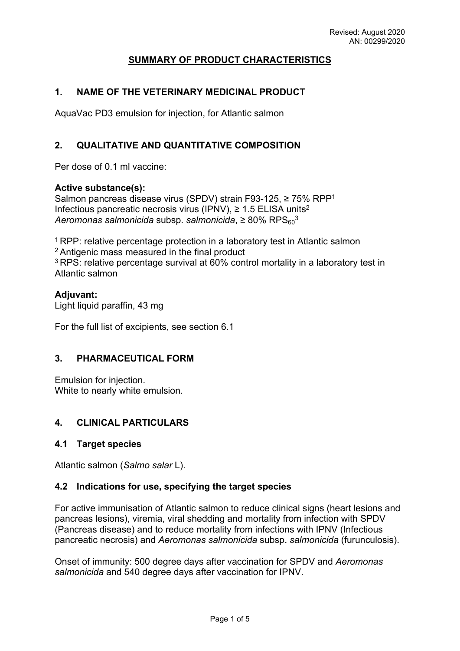# **SUMMARY OF PRODUCT CHARACTERISTICS**

## **1. NAME OF THE VETERINARY MEDICINAL PRODUCT**

AquaVac PD3 emulsion for injection, for Atlantic salmon

### **2. QUALITATIVE AND QUANTITATIVE COMPOSITION**

Per dose of 0.1 ml vaccine:

#### **Active substance(s):**

Salmon pancreas disease virus (SPDV) strain F93-125, ≥ 75% RPP<sup>1</sup> Infectious pancreatic necrosis virus (IPNV), ≥ 1.5 ELISA units<sup>2</sup> *Aeromonas salmonicida* subsp. *salmonicida*, ≥ 80% RPS<sub>60</sub><sup>3</sup>

<sup>1</sup> RPP: relative percentage protection in a laboratory test in Atlantic salmon <sup>2</sup>Antigenic mass measured in the final product <sup>3</sup>RPS: relative percentage survival at 60% control mortality in a laboratory test in Atlantic salmon

#### **Adjuvant:**

Light liquid paraffin, 43 mg

For the full list of excipients, see section 6.1

### **3. PHARMACEUTICAL FORM**

Emulsion for injection. White to nearly white emulsion.

### **4. CLINICAL PARTICULARS**

### **4.1 Target species**

Atlantic salmon (*Salmo salar* L).

### **4.2 Indications for use, specifying the target species**

For active immunisation of Atlantic salmon to reduce clinical signs (heart lesions and pancreas lesions), viremia, viral shedding and mortality from infection with SPDV (Pancreas disease) and to reduce mortality from infections with IPNV (Infectious pancreatic necrosis) and *Aeromonas salmonicida* subsp. *salmonicida* (furunculosis).

Onset of immunity: 500 degree days after vaccination for SPDV and *Aeromonas salmonicida* and 540 degree days after vaccination for IPNV.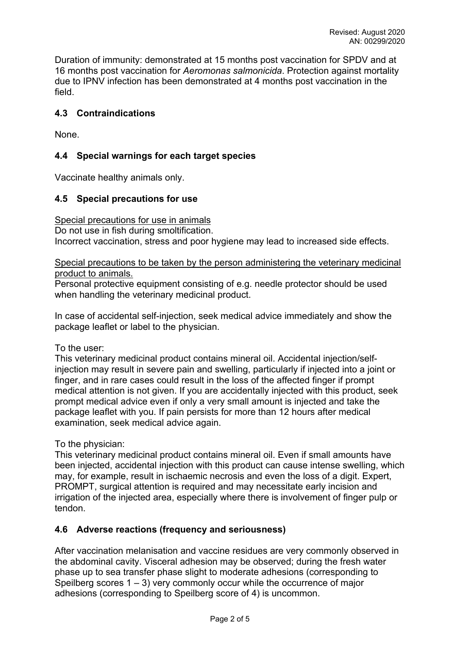Duration of immunity: demonstrated at 15 months post vaccination for SPDV and at 16 months post vaccination for *Aeromonas salmonicida*. Protection against mortality due to IPNV infection has been demonstrated at 4 months post vaccination in the field.

# **4.3 Contraindications**

None.

## **4.4 Special warnings for each target species**

Vaccinate healthy animals only.

### **4.5 Special precautions for use**

Special precautions for use in animals

Do not use in fish during smoltification.

Incorrect vaccination, stress and poor hygiene may lead to increased side effects.

Special precautions to be taken by the person administering the veterinary medicinal product to animals.

Personal protective equipment consisting of e.g. needle protector should be used when handling the veterinary medicinal product.

In case of accidental self-injection, seek medical advice immediately and show the package leaflet or label to the physician.

To the user:

This veterinary medicinal product contains mineral oil. Accidental injection/selfinjection may result in severe pain and swelling, particularly if injected into a joint or finger, and in rare cases could result in the loss of the affected finger if prompt medical attention is not given. If you are accidentally injected with this product, seek prompt medical advice even if only a very small amount is injected and take the package leaflet with you. If pain persists for more than 12 hours after medical examination, seek medical advice again.

To the physician:

This veterinary medicinal product contains mineral oil. Even if small amounts have been injected, accidental injection with this product can cause intense swelling, which may, for example, result in ischaemic necrosis and even the loss of a digit. Expert, PROMPT, surgical attention is required and may necessitate early incision and irrigation of the injected area, especially where there is involvement of finger pulp or tendon.

### **4.6 Adverse reactions (frequency and seriousness)**

After vaccination melanisation and vaccine residues are very commonly observed in the abdominal cavity. Visceral adhesion may be observed; during the fresh water phase up to sea transfer phase slight to moderate adhesions (corresponding to Speilberg scores  $1 - 3$ ) very commonly occur while the occurrence of major adhesions (corresponding to Speilberg score of 4) is uncommon.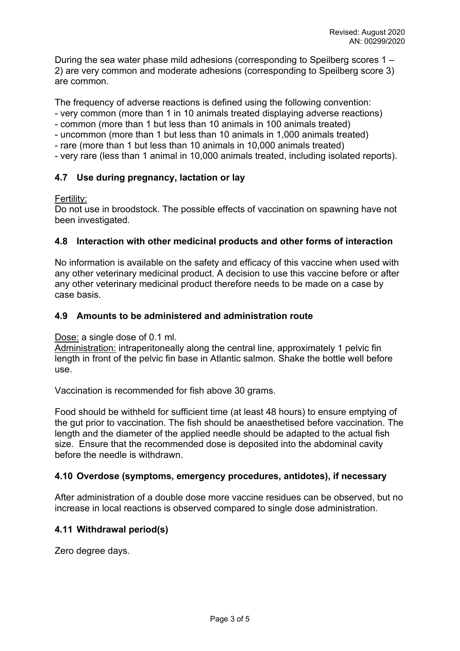During the sea water phase mild adhesions (corresponding to Speilberg scores 1 – 2) are very common and moderate adhesions (corresponding to Speilberg score 3) are common.

The frequency of adverse reactions is defined using the following convention:

- very common (more than 1 in 10 animals treated displaying adverse reactions)
- common (more than 1 but less than 10 animals in 100 animals treated)
- uncommon (more than 1 but less than 10 animals in 1,000 animals treated)
- rare (more than 1 but less than 10 animals in 10,000 animals treated)
- very rare (less than 1 animal in 10,000 animals treated, including isolated reports).

# **4.7 Use during pregnancy, lactation or lay**

### Fertility:

Do not use in broodstock. The possible effects of vaccination on spawning have not been investigated.

### **4.8 Interaction with other medicinal products and other forms of interaction**

No information is available on the safety and efficacy of this vaccine when used with any other veterinary medicinal product. A decision to use this vaccine before or after any other veterinary medicinal product therefore needs to be made on a case by case basis.

### **4.9 Amounts to be administered and administration route**

Dose: a single dose of 0.1 ml.

Administration: intraperitoneally along the central line, approximately 1 pelvic fin length in front of the pelvic fin base in Atlantic salmon. Shake the bottle well before use.

Vaccination is recommended for fish above 30 grams.

Food should be withheld for sufficient time (at least 48 hours) to ensure emptying of the gut prior to vaccination. The fish should be anaesthetised before vaccination. The length and the diameter of the applied needle should be adapted to the actual fish size. Ensure that the recommended dose is deposited into the abdominal cavity before the needle is withdrawn.

### **4.10 Overdose (symptoms, emergency procedures, antidotes), if necessary**

After administration of a double dose more vaccine residues can be observed, but no increase in local reactions is observed compared to single dose administration.

### **4.11 Withdrawal period(s)**

Zero degree days.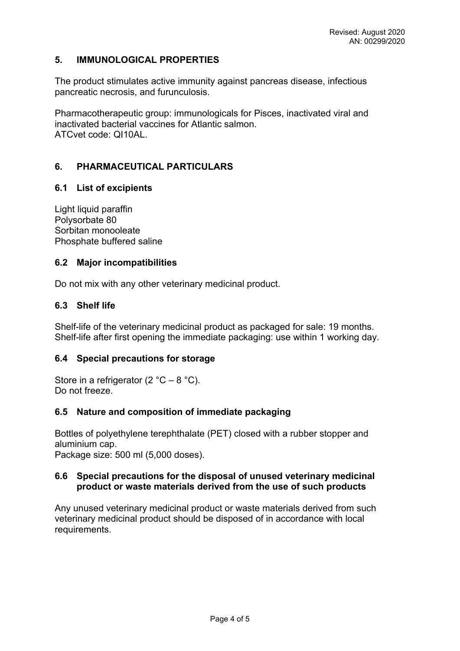## **5. IMMUNOLOGICAL PROPERTIES**

The product stimulates active immunity against pancreas disease, infectious pancreatic necrosis, and furunculosis.

Pharmacotherapeutic group: immunologicals for Pisces, inactivated viral and inactivated bacterial vaccines for Atlantic salmon. ATCvet code: QI10AL.

# **6. PHARMACEUTICAL PARTICULARS**

### **6.1 List of excipients**

Light liquid paraffin Polysorbate 80 Sorbitan monooleate Phosphate buffered saline

### **6.2 Major incompatibilities**

Do not mix with any other veterinary medicinal product.

## **6.3 Shelf life**

Shelf-life of the veterinary medicinal product as packaged for sale: 19 months. Shelf-life after first opening the immediate packaging: use within 1 working day.

### **6.4 Special precautions for storage**

Store in a refrigerator (2  $^{\circ}$ C – 8  $^{\circ}$ C). Do not freeze.

### **6.5 Nature and composition of immediate packaging**

Bottles of polyethylene terephthalate (PET) closed with a rubber stopper and aluminium cap.

Package size: 500 ml (5,000 doses).

#### **6.6 Special precautions for the disposal of unused veterinary medicinal product or waste materials derived from the use of such products**

Any unused veterinary medicinal product or waste materials derived from such veterinary medicinal product should be disposed of in accordance with local requirements.